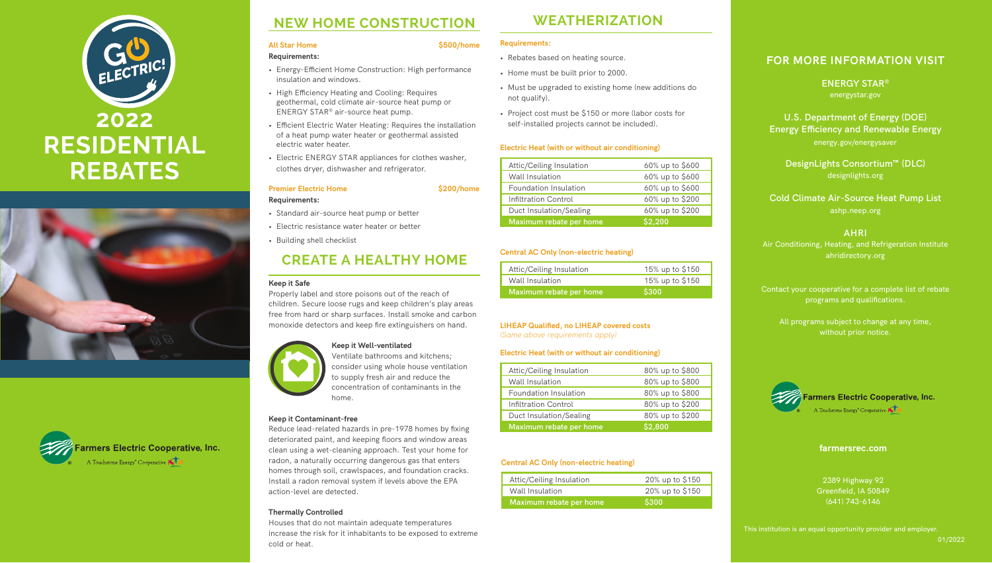# **NEW HOME CONSTRUCTION**

#### All Star Home **6500/home \$500/home**

#### **Requirements:**

- Energy-Efficient Home Construction: High performance insulation and windows.
- High Efficiency Heating and Cooling: Requires geothermal, cold climate air-source heat pump or ENERGY STAR® air-source heat pump.
- Efficient Electric Water Heating: Requires the installation of a heat pump water heater or geothermal assisted electric water heater.
- Electric ENERGY STAR appliances for clothes washer, clothes dryer, dishwasher and refrigerator.

#### **Premier Electric Home 6200/home**

**Requirements:**

- Standard air-source heat pump or better
- Electric resistance water heater or better
- Building shell checklist

# **CREATE A HEALTHY HOME**

#### **Keep it Safe**

Properly label and store poisons out of the reach of children. Secure loose rugs and keep children's play areas free from hard or sharp surfaces. Install smoke and carbon monoxide detectors and keep fire extinguishers on hand.



#### **Keep it Well-ventilated**

Ventilate bathrooms and kitchens; consider using whole house ventilation to supply fresh air and reduce the concentration of contaminants in the home.

#### **Keep it Contaminant-free**

Reduce lead-related hazards in pre-1978 homes by fixing deteriorated paint, and keeping floors and window areas clean using a wet-cleaning approach. Test your home for radon, a naturally occurring dangerous gas that enters homes through soil, crawlspaces, and foundation cracks. Install a radon removal system if levels above the EPA action-level are detected.

#### **Thermally Controlled**

Houses that do not maintain adequate temperatures increase the risk for it inhabitants to be exposed to extreme cold or heat.

# **2022 RESIDENTIAL REBATES**





#### **FOR MORE INFORMATION VISIT**

**ENERGY STAR®** energystar.gov

**U.S. Department of Energy (DOE) Energy Efficiency and Renewable Energy** 

energy.gov/energysaver

**DesignLights Consortium™ (DLC)** designlights.org

**Cold Climate Air-Source Heat Pump List** ashp.neep.org

**AHRI**

Air Conditioning, Heating, and Refrigeration Institute ahridirectory.org

Contact your cooperative for a complete list of rebate programs and qualifications.

All programs subject to change at any time, without prior notice.

# **WEATHERIZATION**

#### **Requirements:**

- Rebates based on heating source.
- Home must be built prior to 2000.
- Must be upgraded to existing home (new additions do not qualify).
- Project cost must be \$150 or more (labor costs for self-installed projects cannot be included).

#### **Electric Heat (with or without air conditioning)**

| Attic/Ceiling Insulation | 60% up to \$600 |
|--------------------------|-----------------|
| Wall Insulation          | 60% up to \$600 |
| Foundation Insulation    | 60% up to \$600 |
| Infiltration Control     | 60% up to \$200 |
| Duct Insulation/Sealing  | 60% up to \$200 |
| Maximum rebate per home  | \$2.200         |

#### **Central AC Only (non-electric heating)**

| Attic/Ceiling Insulation | 15% up to \$150 |
|--------------------------|-----------------|
| Wall Insulation          | 15% up to \$150 |
| Maximum rebate per home  | \$300           |

## **LIHEAP Qualified, no LIHEAP covered costs**

*(Same above requirements apply)*

| Attic/Ceiling Insulation | 80% up to \$800 |
|--------------------------|-----------------|
| Wall Insulation          | 80% up to \$800 |
| Foundation Insulation    | 80% up to \$800 |
| Infiltration Control     | 80% up to \$200 |
| Duct Insulation/Sealing  | 80% up to \$200 |
| Maximum rebate per home  | \$2,800         |

#### **Electric Heat (with or without air conditioning)**

#### **Central AC Only (non-electric heating)**

| Maximum rebate per home  | \$300           |
|--------------------------|-----------------|
| Wall Insulation          | 20% up to \$150 |
| Attic/Ceiling Insulation | 20% up to \$150 |



This institution is an equal opportunity provider and employer.

01/2022



#### **farmersrec.com**

2389 Highway 92 Greenfield, IA 50849 (641) 743-6146